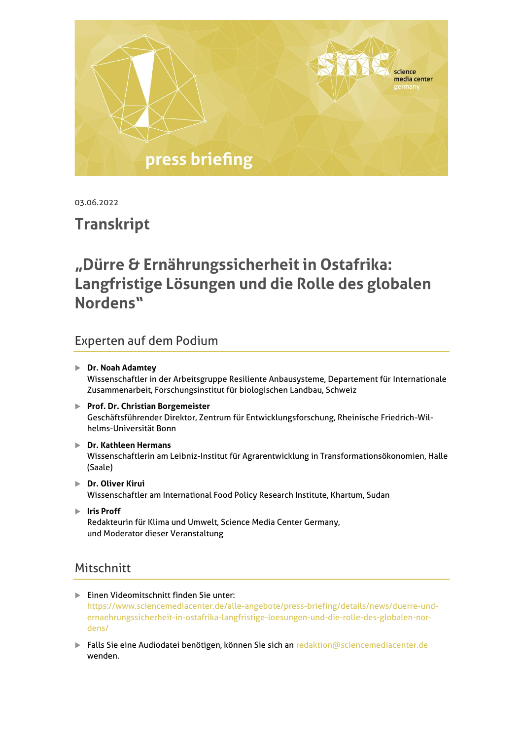

03.06.2022

# **Transkript**

# **"Dürre & Ernährungssicherheit in Ostafrika: Langfristige Lösungen und die Rolle des globalen Nordens"**

# Experten auf dem Podium

- **Dr. Noah Adamtey** Wissenschaftler in der Arbeitsgruppe Resiliente Anbausysteme, Departement für Internationale Zusammenarbeit, Forschungsinstitut für biologischen Landbau, Schweiz
- **Prof. Dr. Christian Borgemeister** Geschäftsführender Direktor, Zentrum für Entwicklungsforschung, Rheinische Friedrich-Wilhelms-Universität Bonn
- **Dr. Kathleen Hermans** Wissenschaftlerin am Leibniz-Institut für Agrarentwicklung in Transformationsökonomien, Halle (Saale)
- **Dr. Oliver Kirui** Wissenschaftler am International Food Policy Research Institute, Khartum, Sudan
- **Iris Proff** Redakteurin für Klima und Umwelt, Science Media Center Germany, und Moderator dieser Veranstaltung

# **Mitschnitt**

- Einen Videomitschnitt finden Sie unter: [https://www.sciencemediacenter.de/alle-angebote/press-briefing/details/news/duerre-und](https://www.sciencemediacenter.de/alle-angebote/press-briefing/details/news/duerre-und-ernaehrungssicherheit-in-ostafrika-langfristige-loesungen-und-die-rolle-des-globalen-nordens/)[ernaehrungssicherheit-in-ostafrika-langfristige-loesungen-und-die-rolle-des-globalen-nor](https://www.sciencemediacenter.de/alle-angebote/press-briefing/details/news/duerre-und-ernaehrungssicherheit-in-ostafrika-langfristige-loesungen-und-die-rolle-des-globalen-nordens/)[dens/](https://www.sciencemediacenter.de/alle-angebote/press-briefing/details/news/duerre-und-ernaehrungssicherheit-in-ostafrika-langfristige-loesungen-und-die-rolle-des-globalen-nordens/)
- **Falls Sie eine Audiodatei benötigen, können Sie sich an [redaktion@sciencemediacenter.de](mailto:redaktion@sciencemediacenter.de)** wenden.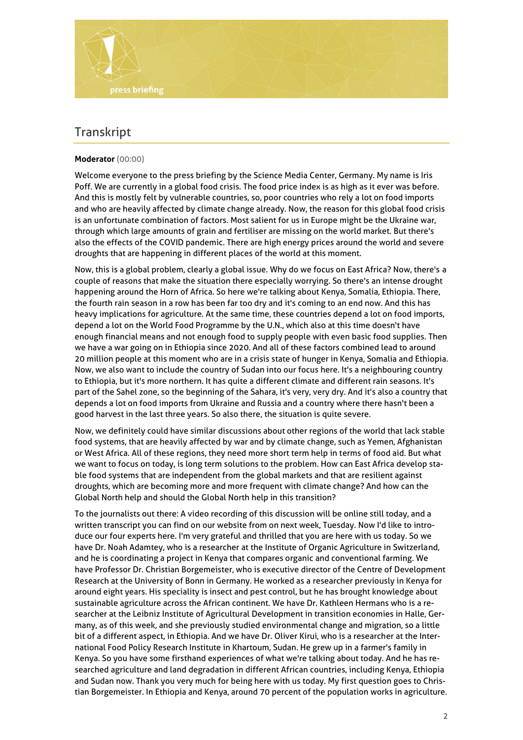

# **Transkript**

#### **Moderator** (00:00)

Welcome everyone to the press briefing by the Science Media Center, Germany. My name is Iris Poff. We are currently in a global food crisis. The food price index is as high as it ever was before. And this is mostly felt by vulnerable countries, so, poor countries who rely a lot on food imports and who are heavily affected by climate change already. Now, the reason for this global food crisis is an unfortunate combination of factors. Most salient for us in Europe might be the Ukraine war, through which large amounts of grain and fertiliser are missing on the world market. But there's also the effects of the COVID pandemic. There are high energy prices around the world and severe droughts that are happening in different places of the world at this moment.

Now, this is a global problem, clearly a global issue. Why do we focus on East Africa? Now, there's a couple of reasons that make the situation there especially worrying. So there's an intense drought happening around the Horn of Africa. So here we're talking about Kenya, Somalia, Ethiopia. There, the fourth rain season in a row has been far too dry and it's coming to an end now. And this has heavy implications for agriculture. At the same time, these countries depend a lot on food imports, depend a lot on the World Food Programme by the U.N., which also at this time doesn't have enough financial means and not enough food to supply people with even basic food supplies. Then we have a war going on in Ethiopia since 2020. And all of these factors combined lead to around 20 million people at this moment who are in a crisis state of hunger in Kenya, Somalia and Ethiopia. Now, we also want to include the country of Sudan into our focus here. It's a neighbouring country to Ethiopia, but it's more northern. It has quite a different climate and different rain seasons. It's part of the Sahel zone, so the beginning of the Sahara, it's very, very dry. And it's also a country that depends a lot on food imports from Ukraine and Russia and a country where there hasn't been a good harvest in the last three years. So also there, the situation is quite severe.

Now, we definitely could have similar discussions about other regions of the world that lack stable food systems, that are heavily affected by war and by climate change, such as Yemen, Afghanistan or West Africa. All of these regions, they need more short term help in terms of food aid. But what we want to focus on today, is long term solutions to the problem. How can East Africa develop stable food systems that are independent from the global markets and that are resilient against droughts, which are becoming more and more frequent with climate change? And how can the Global North help and should the Global North help in this transition?

To the journalists out there: A video recording of this discussion will be online still today, and a written transcript you can find on our website from on next week, Tuesday. Now I'd like to introduce our four experts here. I'm very grateful and thrilled that you are here with us today. So we have Dr. Noah Adamtey, who is a researcher at the Institute of Organic Agriculture in Switzerland, and he is coordinating a project in Kenya that compares organic and conventional farming. We have Professor Dr. Christian Borgemeister, who is executive director of the Centre of Development Research at the University of Bonn in Germany. He worked as a researcher previously in Kenya for around eight years. His speciality is insect and pest control, but he has brought knowledge about sustainable agriculture across the African continent. We have Dr. Kathleen Hermans who is a researcher at the Leibniz Institute of Agricultural Development in transition economies in Halle, Germany, as of this week, and she previously studied environmental change and migration, so a little bit of a different aspect, in Ethiopia. And we have Dr. Oliver Kirui, who is a researcher at the International Food Policy Research Institute in Khartoum, Sudan. He grew up in a farmer's family in Kenya. So you have some firsthand experiences of what we're talking about today. And he has researched agriculture and land degradation in different African countries, including Kenya, Ethiopia and Sudan now. Thank you very much for being here with us today. My first question goes to Christian Borgemeister. In Ethiopia and Kenya, around 70 percent of the population works in agriculture.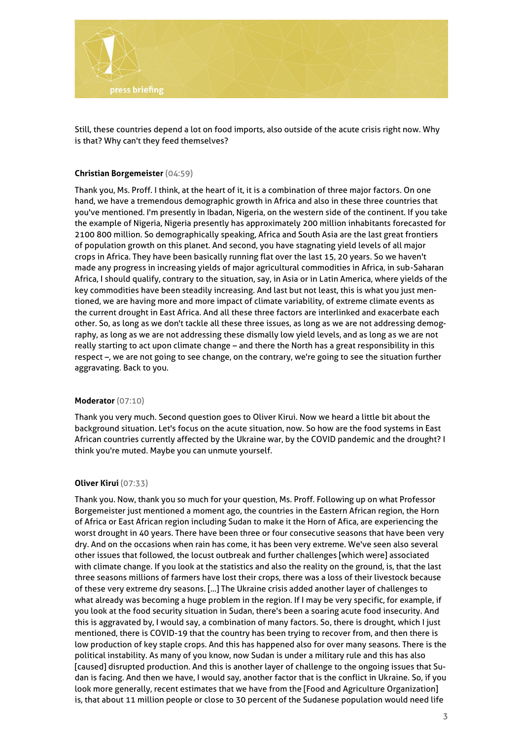

Still, these countries depend a lot on food imports, also outside of the acute crisis right now. Why is that? Why can't they feed themselves?

#### **Christian Borgemeister** (04:59)

Thank you, Ms. Proff. I think, at the heart of it, it is a combination of three major factors. On one hand, we have a tremendous demographic growth in Africa and also in these three countries that you've mentioned. I'm presently in Ibadan, Nigeria, on the western side of the continent. If you take the example of Nigeria, Nigeria presently has approximately 200 million inhabitants forecasted for 2100 800 million. So demographically speaking, Africa and South Asia are the last great frontiers of population growth on this planet. And second, you have stagnating yield levels of all major crops in Africa. They have been basically running flat over the last 15, 20 years. So we haven't made any progress in increasing yields of major agricultural commodities in Africa, in sub-Saharan Africa, I should qualify, contrary to the situation, say, in Asia or in Latin America, where yields of the key commodities have been steadily increasing. And last but not least, this is what you just mentioned, we are having more and more impact of climate variability, of extreme climate events as the current drought in East Africa. And all these three factors are interlinked and exacerbate each other. So, as long as we don't tackle all these three issues, as long as we are not addressing demography, as long as we are not addressing these dismally low yield levels, and as long as we are not really starting to act upon climate change – and there the North has a great responsibility in this respect –, we are not going to see change, on the contrary, we're going to see the situation further aggravating. Back to you.

#### **Moderator** (07:10)

Thank you very much. Second question goes to Oliver Kirui. Now we heard a little bit about the background situation. Let's focus on the acute situation, now. So how are the food systems in East African countries currently affected by the Ukraine war, by the COVID pandemic and the drought? I think you're muted. Maybe you can unmute yourself.

#### **Oliver Kirui** (07:33)

Thank you. Now, thank you so much for your question, Ms. Proff. Following up on what Professor Borgemeister just mentioned a moment ago, the countries in the Eastern African region, the Horn of Africa or East African region including Sudan to make it the Horn of Afica, are experiencing the worst drought in 40 years. There have been three or four consecutive seasons that have been very dry. And on the occasions when rain has come, it has been very extreme. We've seen also several other issues that followed, the locust outbreak and further challenges [which were] associated with climate change. If you look at the statistics and also the reality on the ground, is, that the last three seasons millions of farmers have lost their crops, there was a loss of their livestock because of these very extreme dry seasons. [...] The Ukraine crisis added another layer of challenges to what already was becoming a huge problem in the region. If I may be very specific, for example, if you look at the food security situation in Sudan, there's been a soaring acute food insecurity. And this is aggravated by, I would say, a combination of many factors. So, there is drought, which I just mentioned, there is COVID-19 that the country has been trying to recover from, and then there is low production of key staple crops. And this has happened also for over many seasons. There is the political instability. As many of you know, now Sudan is under a military rule and this has also [caused] disrupted production. And this is another layer of challenge to the ongoing issues that Sudan is facing. And then we have, I would say, another factor that is the conflict in Ukraine. So, if you look more generally, recent estimates that we have from the [Food and Agriculture Organization] is, that about 11 million people or close to 30 percent of the Sudanese population would need life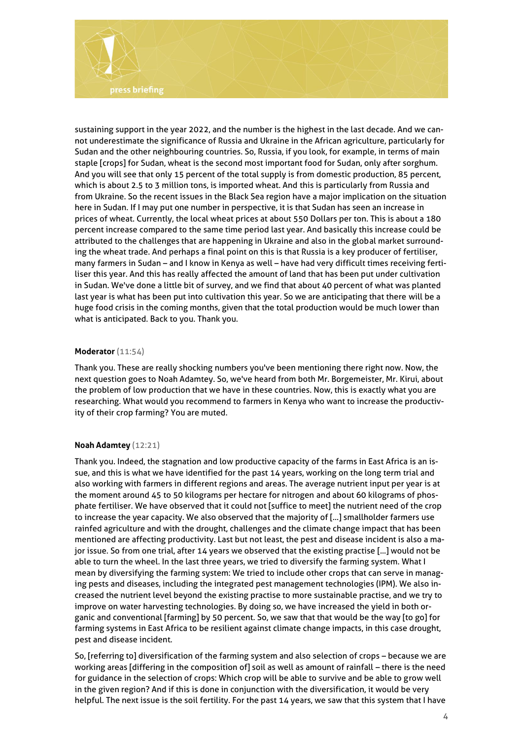

sustaining support in the year 2022, and the number is the highest in the last decade. And we cannot underestimate the significance of Russia and Ukraine in the African agriculture, particularly for Sudan and the other neighbouring countries. So, Russia, if you look, for example, in terms of main staple [crops] for Sudan, wheat is the second most important food for Sudan, only after sorghum. And you will see that only 15 percent of the total supply is from domestic production, 85 percent, which is about 2.5 to 3 million tons, is imported wheat. And this is particularly from Russia and from Ukraine. So the recent issues in the Black Sea region have a major implication on the situation here in Sudan. If I may put one number in perspective, it is that Sudan has seen an increase in prices of wheat. Currently, the local wheat prices at about 550 Dollars per ton. This is about a 180 percent increase compared to the same time period last year. And basically this increase could be attributed to the challenges that are happening in Ukraine and also in the global market surrounding the wheat trade. And perhaps a final point on this is that Russia is a key producer of fertiliser, many farmers in Sudan – and I know in Kenya as well – have had very difficult times receiving fertiliser this year. And this has really affected the amount of land that has been put under cultivation in Sudan. We've done a little bit of survey, and we find that about 40 percent of what was planted last year is what has been put into cultivation this year. So we are anticipating that there will be a huge food crisis in the coming months, given that the total production would be much lower than what is anticipated. Back to you. Thank you.

#### **Moderator** (11:54)

Thank you. These are really shocking numbers you've been mentioning there right now. Now, the next question goes to Noah Adamtey. So, we've heard from both Mr. Borgemeister, Mr. Kirui, about the problem of low production that we have in these countries. Now, this is exactly what you are researching. What would you recommend to farmers in Kenya who want to increase the productivity of their crop farming? You are muted.

# **Noah Adamtey** (12:21)

Thank you. Indeed, the stagnation and low productive capacity of the farms in East Africa is an issue, and this is what we have identified for the past 14 years, working on the long term trial and also working with farmers in different regions and areas. The average nutrient input per year is at the moment around 45 to 50 kilograms per hectare for nitrogen and about 60 kilograms of phosphate fertiliser. We have observed that it could not [suffice to meet] the nutrient need of the crop to increase the year capacity. We also observed that the majority of [...] smallholder farmers use rainfed agriculture and with the drought, challenges and the climate change impact that has been mentioned are affecting productivity. Last but not least, the pest and disease incident is also a major issue. So from one trial, after 14 years we observed that the existing practise [...] would not be able to turn the wheel. In the last three years, we tried to diversify the farming system. What I mean by diversifying the farming system: We tried to include other crops that can serve in managing pests and diseases, including the integrated pest management technologies (IPM). We also increased the nutrient level beyond the existing practise to more sustainable practise, and we try to improve on water harvesting technologies. By doing so, we have increased the yield in both organic and conventional [farming] by 50 percent. So, we saw that that would be the way [to go] for farming systems in East Africa to be resilient against climate change impacts, in this case drought, pest and disease incident.

So, [referring to] diversification of the farming system and also selection of crops – because we are working areas [differing in the composition of] soil as well as amount of rainfall – there is the need for guidance in the selection of crops: Which crop will be able to survive and be able to grow well in the given region? And if this is done in conjunction with the diversification, it would be very helpful. The next issue is the soil fertility. For the past 14 years, we saw that this system that I have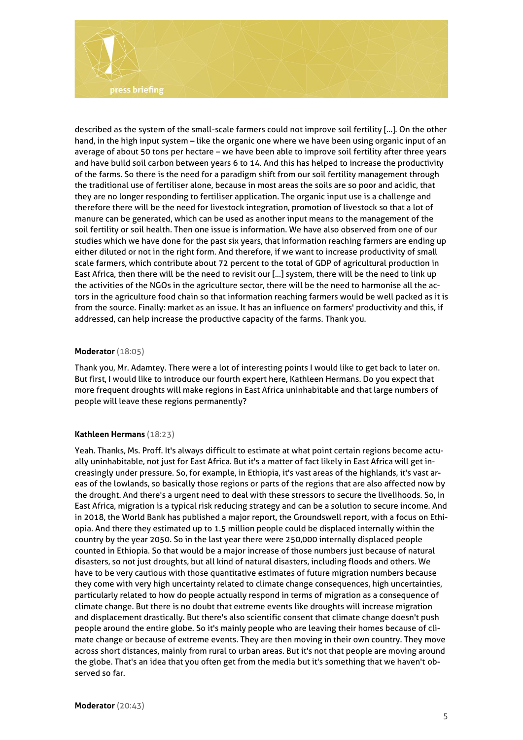

described as the system of the small-scale farmers could not improve soil fertility [...]. On the other hand, in the high input system – like the organic one where we have been using organic input of an average of about 50 tons per hectare – we have been able to improve soil fertility after three years and have build soil carbon between years 6 to 14. And this has helped to increase the productivity of the farms. So there is the need for a paradigm shift from our soil fertility management through the traditional use of fertiliser alone, because in most areas the soils are so poor and acidic, that they are no longer responding to fertiliser application. The organic input use is a challenge and therefore there will be the need for livestock integration, promotion of livestock so that a lot of manure can be generated, which can be used as another input means to the management of the soil fertility or soil health. Then one issue is information. We have also observed from one of our studies which we have done for the past six years, that information reaching farmers are ending up either diluted or not in the right form. And therefore, if we want to increase productivity of small scale farmers, which contribute about 72 percent to the total of GDP of agricultural production in East Africa, then there will be the need to revisit our [...] system, there will be the need to link up the activities of the NGOs in the agriculture sector, there will be the need to harmonise all the actors in the agriculture food chain so that information reaching farmers would be well packed as it is from the source. Finally: market as an issue. It has an influence on farmers' productivity and this, if addressed, can help increase the productive capacity of the farms. Thank you.

#### **Moderator** (18:05)

Thank you, Mr. Adamtey. There were a lot of interesting points I would like to get back to later on. But first, I would like to introduce our fourth expert here, Kathleen Hermans. Do you expect that more frequent droughts will make regions in East Africa uninhabitable and that large numbers of people will leave these regions permanently?

#### **Kathleen Hermans** (18:23)

Yeah. Thanks, Ms. Proff. It's always difficult to estimate at what point certain regions become actually uninhabitable, not just for East Africa. But it's a matter of fact likely in East Africa will get increasingly under pressure. So, for example, in Ethiopia, it's vast areas of the highlands, it's vast areas of the lowlands, so basically those regions or parts of the regions that are also affected now by the drought. And there's a urgent need to deal with these stressors to secure the livelihoods. So, in East Africa, migration is a typical risk reducing strategy and can be a solution to secure income. And in 2018, the World Bank has published a major report, the Groundswell report, with a focus on Ethiopia. And there they estimated up to 1.5 million people could be displaced internally within the country by the year 2050. So in the last year there were 250,000 internally displaced people counted in Ethiopia. So that would be a major increase of those numbers just because of natural disasters, so not just droughts, but all kind of natural disasters, including floods and others. We have to be very cautious with those quantitative estimates of future migration numbers because they come with very high uncertainty related to climate change consequences, high uncertainties, particularly related to how do people actually respond in terms of migration as a consequence of climate change. But there is no doubt that extreme events like droughts will increase migration and displacement drastically. But there's also scientific consent that climate change doesn't push people around the entire globe. So it's mainly people who are leaving their homes because of climate change or because of extreme events. They are then moving in their own country. They move across short distances, mainly from rural to urban areas. But it's not that people are moving around the globe. That's an idea that you often get from the media but it's something that we haven't observed so far.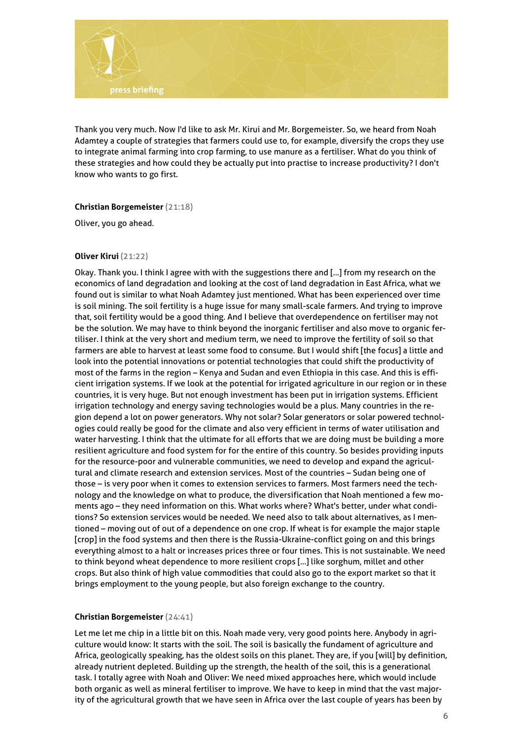

Thank you very much. Now I'd like to ask Mr. Kirui and Mr. Borgemeister. So, we heard from Noah Adamtey a couple of strategies that farmers could use to, for example, diversify the crops they use to integrate animal farming into crop farming, to use manure as a fertiliser. What do you think of these strategies and how could they be actually put into practise to increase productivity? I don't know who wants to go first.

#### **Christian Borgemeister** (21:18)

Oliver, you go ahead.

#### **Oliver Kirui** (21:22)

Okay. Thank you. I think I agree with with the suggestions there and [...] from my research on the economics of land degradation and looking at the cost of land degradation in East Africa, what we found out is similar to what Noah Adamtey just mentioned. What has been experienced over time is soil mining. The soil fertility is a huge issue for many small-scale farmers. And trying to improve that, soil fertility would be a good thing. And I believe that overdependence on fertiliser may not be the solution. We may have to think beyond the inorganic fertiliser and also move to organic fertiliser. I think at the very short and medium term, we need to improve the fertility of soil so that farmers are able to harvest at least some food to consume. But I would shift [the focus] a little and look into the potential innovations or potential technologies that could shift the productivity of most of the farms in the region – Kenya and Sudan and even Ethiopia in this case. And this is efficient irrigation systems. If we look at the potential for irrigated agriculture in our region or in these countries, it is very huge. But not enough investment has been put in irrigation systems. Efficient irrigation technology and energy saving technologies would be a plus. Many countries in the region depend a lot on power generators. Why not solar? Solar generators or solar powered technologies could really be good for the climate and also very efficient in terms of water utilisation and water harvesting. I think that the ultimate for all efforts that we are doing must be building a more resilient agriculture and food system for for the entire of this country. So besides providing inputs for the resource-poor and vulnerable communities, we need to develop and expand the agricultural and climate research and extension services. Most of the countries – Sudan being one of those – is very poor when it comes to extension services to farmers. Most farmers need the technology and the knowledge on what to produce, the diversification that Noah mentioned a few moments ago – they need information on this. What works where? What's better, under what conditions? So extension services would be needed. We need also to talk about alternatives, as I mentioned – moving out of out of a dependence on one crop. If wheat is for example the major staple [crop] in the food systems and then there is the Russia-Ukraine-conflict going on and this brings everything almost to a halt or increases prices three or four times. This is not sustainable. We need to think beyond wheat dependence to more resilient crops [...] like sorghum, millet and other crops. But also think of high value commodities that could also go to the export market so that it brings employment to the young people, but also foreign exchange to the country.

# **Christian Borgemeister** (24:41)

Let me let me chip in a little bit on this. Noah made very, very good points here. Anybody in agriculture would know: It starts with the soil. The soil is basically the fundament of agriculture and Africa, geologically speaking, has the oldest soils on this planet. They are, if you [will] by definition, already nutrient depleted. Building up the strength, the health of the soil, this is a generational task. I totally agree with Noah and Oliver: We need mixed approaches here, which would include both organic as well as mineral fertiliser to improve. We have to keep in mind that the vast majority of the agricultural growth that we have seen in Africa over the last couple of years has been by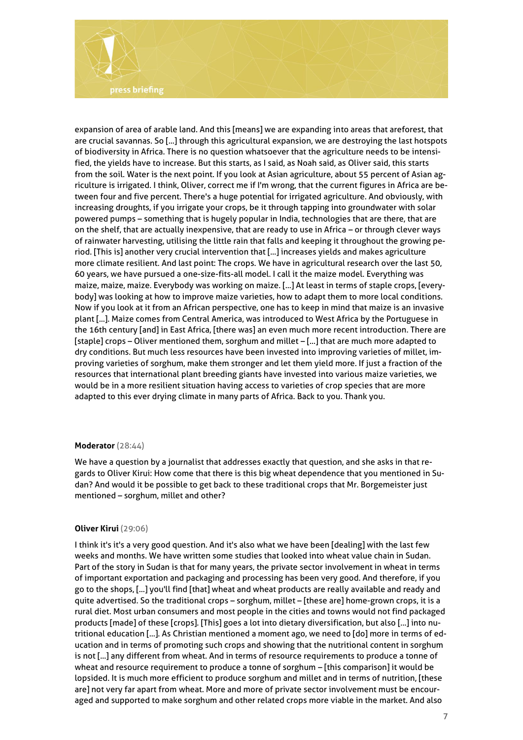

expansion of area of arable land. And this [means] we are expanding into areas that areforest, that are crucial savannas. So [...] through this agricultural expansion, we are destroying the last hotspots of biodiversity in Africa. There is no question whatsoever that the agriculture needs to be intensified, the yields have to increase. But this starts, as I said, as Noah said, as Oliver said, this starts from the soil. Water is the next point. If you look at Asian agriculture, about 55 percent of Asian agriculture is irrigated. I think, Oliver, correct me if I'm wrong, that the current figures in Africa are between four and five percent. There's a huge potential for irrigated agriculture. And obviously, with increasing droughts, if you irrigate your crops, be it through tapping into groundwater with solar powered pumps – something that is hugely popular in India, technologies that are there, that are on the shelf, that are actually inexpensive, that are ready to use in Africa – or through clever ways of rainwater harvesting, utilising the little rain that falls and keeping it throughout the growing period. [This is] another very crucial intervention that [...] increases yields and makes agriculture more climate resilient. And last point: The crops. We have in agricultural research over the last 50, 60 years, we have pursued a one-size-fits-all model. I call it the maize model. Everything was maize, maize, maize. Everybody was working on maize. [...] At least in terms of staple crops, [everybody] was looking at how to improve maize varieties, how to adapt them to more local conditions. Now if you look at it from an African perspective, one has to keep in mind that maize is an invasive plant [...]. Maize comes from Central America, was introduced to West Africa by the Portuguese in the 16th century [and] in East Africa, [there was] an even much more recent introduction. There are [staple] crops – Oliver mentioned them, sorghum and millet – [...] that are much more adapted to dry conditions. But much less resources have been invested into improving varieties of millet, improving varieties of sorghum, make them stronger and let them yield more. If just a fraction of the resources that international plant breeding giants have invested into various maize varieties, we would be in a more resilient situation having access to varieties of crop species that are more adapted to this ever drying climate in many parts of Africa. Back to you. Thank you.

#### **Moderator** (28:44)

We have a question by a journalist that addresses exactly that question, and she asks in that regards to Oliver Kirui: How come that there is this big wheat dependence that you mentioned in Sudan? And would it be possible to get back to these traditional crops that Mr. Borgemeister just mentioned – sorghum, millet and other?

#### **Oliver Kirui** (29:06)

I think it's it's a very good question. And it's also what we have been [dealing] with the last few weeks and months. We have written some studies that looked into wheat value chain in Sudan. Part of the story in Sudan is that for many years, the private sector involvement in wheat in terms of important exportation and packaging and processing has been very good. And therefore, if you go to the shops, [...] you'll find [that] wheat and wheat products are really available and ready and quite advertised. So the traditional crops – sorghum, millet – [these are] home-grown crops, it is a rural diet. Most urban consumers and most people in the cities and towns would not find packaged products [made] of these [crops]. [This] goes a lot into dietary diversification, but also [...] into nutritional education [...]. As Christian mentioned a moment ago, we need to [do] more in terms of education and in terms of promoting such crops and showing that the nutritional content in sorghum is not [...] any different from wheat. And in terms of resource requirements to produce a tonne of wheat and resource requirement to produce a tonne of sorghum – [this comparison] it would be lopsided. It is much more efficient to produce sorghum and millet and in terms of nutrition, [these are] not very far apart from wheat. More and more of private sector involvement must be encouraged and supported to make sorghum and other related crops more viable in the market. And also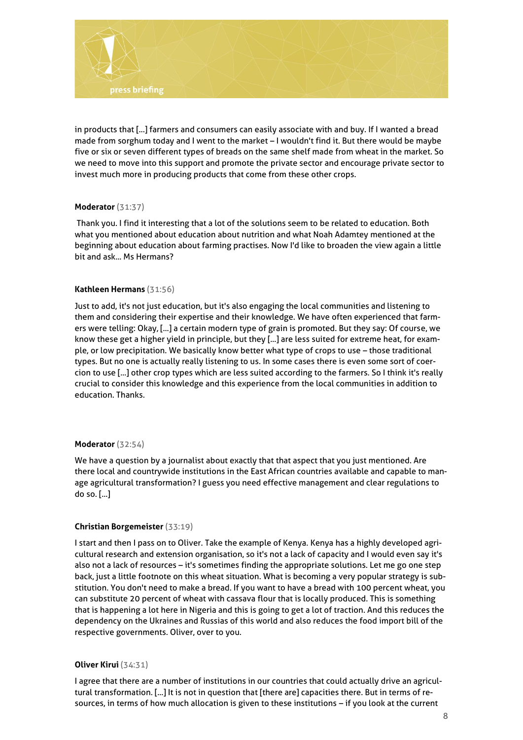

in products that [...] farmers and consumers can easily associate with and buy. If I wanted a bread made from sorghum today and I went to the market – I wouldn't find it. But there would be maybe five or six or seven different types of breads on the same shelf made from wheat in the market. So we need to move into this support and promote the private sector and encourage private sector to invest much more in producing products that come from these other crops.

#### **Moderator** (31:37)

Thank you. I find it interesting that a lot of the solutions seem to be related to education. Both what you mentioned about education about nutrition and what Noah Adamtey mentioned at the beginning about education about farming practises. Now I'd like to broaden the view again a little bit and ask... Ms Hermans?

# **Kathleen Hermans** (31:56)

Just to add, it's not just education, but it's also engaging the local communities and listening to them and considering their expertise and their knowledge. We have often experienced that farmers were telling: Okay, [...] a certain modern type of grain is promoted. But they say: Of course, we know these get a higher yield in principle, but they [...] are less suited for extreme heat, for example, or low precipitation. We basically know better what type of crops to use – those traditional types. But no one is actually really listening to us. In some cases there is even some sort of coercion to use [...] other crop types which are less suited according to the farmers. So I think it's really crucial to consider this knowledge and this experience from the local communities in addition to education. Thanks.

# **Moderator** (32:54)

We have a question by a journalist about exactly that that aspect that you just mentioned. Are there local and countrywide institutions in the East African countries available and capable to manage agricultural transformation? I guess you need effective management and clear regulations to do so. [...]

# **Christian Borgemeister** (33:19)

I start and then I pass on to Oliver. Take the example of Kenya. Kenya has a highly developed agricultural research and extension organisation, so it's not a lack of capacity and I would even say it's also not a lack of resources – it's sometimes finding the appropriate solutions. Let me go one step back, just a little footnote on this wheat situation. What is becoming a very popular strategy is substitution. You don't need to make a bread. If you want to have a bread with 100 percent wheat, you can substitute 20 percent of wheat with cassava flour that is locally produced. This is something that is happening a lot here in Nigeria and this is going to get a lot of traction. And this reduces the dependency on the Ukraines and Russias of this world and also reduces the food import bill of the respective governments. Oliver, over to you.

# **Oliver Kirui** (34:31)

I agree that there are a number of institutions in our countries that could actually drive an agricultural transformation. [...] It is not in question that [there are] capacities there. But in terms of resources, in terms of how much allocation is given to these institutions – if you look at the current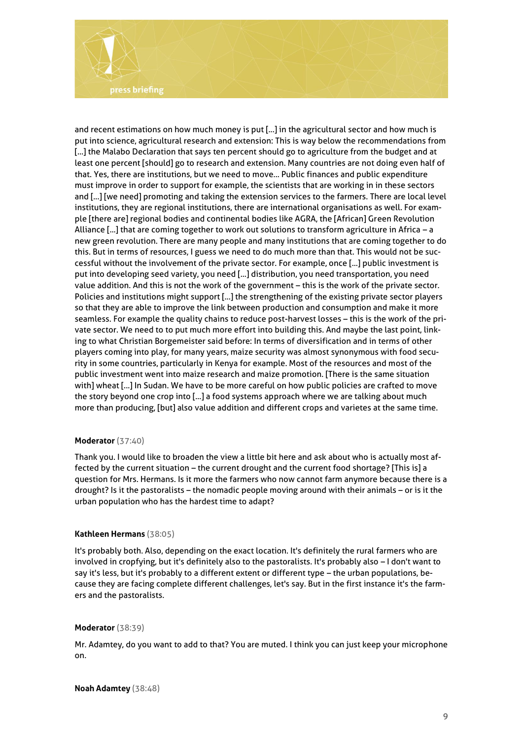

and recent estimations on how much money is put [...] in the agricultural sector and how much is put into science, agricultural research and extension: This is way below the recommendations from [...] the Malabo Declaration that says ten percent should go to agriculture from the budget and at least one percent [should] go to research and extension. Many countries are not doing even half of that. Yes, there are institutions, but we need to move... Public finances and public expenditure must improve in order to support for example, the scientists that are working in in these sectors and [...] [we need] promoting and taking the extension services to the farmers. There are local level institutions, they are regional institutions, there are international organisations as well. For example [there are] regional bodies and continental bodies like AGRA, the [African] Green Revolution Alliance [...] that are coming together to work out solutions to transform agriculture in Africa – a new green revolution. There are many people and many institutions that are coming together to do this. But in terms of resources, I guess we need to do much more than that. This would not be successful without the involvement of the private sector. For example, once [...] public investment is put into developing seed variety, you need [...] distribution, you need transportation, you need value addition. And this is not the work of the government – this is the work of the private sector. Policies and institutions might support [...] the strengthening of the existing private sector players so that they are able to improve the link between production and consumption and make it more seamless. For example the quality chains to reduce post-harvest losses – this is the work of the private sector. We need to to put much more effort into building this. And maybe the last point, linking to what Christian Borgemeister said before: In terms of diversification and in terms of other players coming into play, for many years, maize security was almost synonymous with food security in some countries, particularly in Kenya for example. Most of the resources and most of the public investment went into maize research and maize promotion. [There is the same situation with] wheat [...] In Sudan. We have to be more careful on how public policies are crafted to move the story beyond one crop into [...] a food systems approach where we are talking about much more than producing, [but] also value addition and different crops and varietes at the same time.

#### **Moderator** (37:40)

Thank you. I would like to broaden the view a little bit here and ask about who is actually most affected by the current situation – the current drought and the current food shortage? [This is] a question for Mrs. Hermans. Is it more the farmers who now cannot farm anymore because there is a drought? Is it the pastoralists – the nomadic people moving around with their animals – or is it the urban population who has the hardest time to adapt?

#### **Kathleen Hermans** (38:05)

It's probably both. Also, depending on the exact location. It's definitely the rural farmers who are involved in cropfying, but it's definitely also to the pastoralists. It's probably also – I don't want to say it's less, but it's probably to a different extent or different type – the urban populations, because they are facing complete different challenges, let's say. But in the first instance it's the farmers and the pastoralists.

#### **Moderator** (38:39)

Mr. Adamtey, do you want to add to that? You are muted. I think you can just keep your microphone on.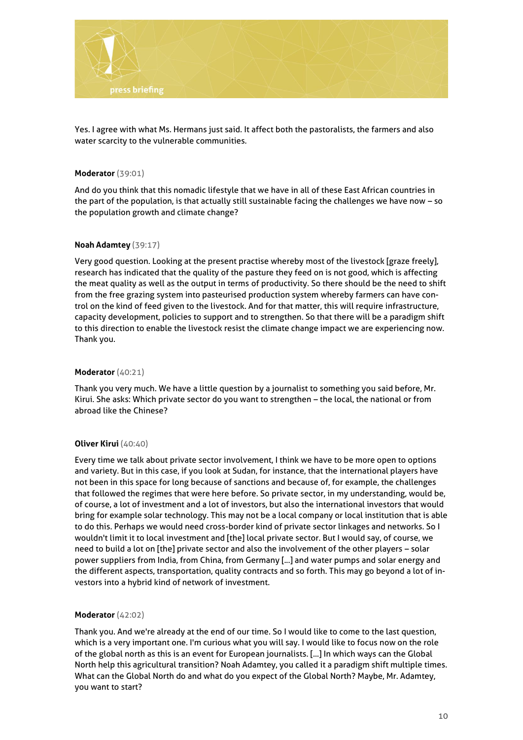

Yes. I agree with what Ms. Hermans just said. It affect both the pastoralists, the farmers and also water scarcity to the vulnerable communities.

#### **Moderator** (39:01)

And do you think that this nomadic lifestyle that we have in all of these East African countries in the part of the population, is that actually still sustainable facing the challenges we have now – so the population growth and climate change?

#### **Noah Adamtey** (39:17)

Very good question. Looking at the present practise whereby most of the livestock [graze freely], research has indicated that the quality of the pasture they feed on is not good, which is affecting the meat quality as well as the output in terms of productivity. So there should be the need to shift from the free grazing system into pasteurised production system whereby farmers can have control on the kind of feed given to the livestock. And for that matter, this will require infrastructure, capacity development, policies to support and to strengthen. So that there will be a paradigm shift to this direction to enable the livestock resist the climate change impact we are experiencing now. Thank you.

#### **Moderator** (40:21)

Thank you very much. We have a little question by a journalist to something you said before, Mr. Kirui. She asks: Which private sector do you want to strengthen – the local, the national or from abroad like the Chinese?

# **Oliver Kirui** (40:40)

Every time we talk about private sector involvement, I think we have to be more open to options and variety. But in this case, if you look at Sudan, for instance, that the international players have not been in this space for long because of sanctions and because of, for example, the challenges that followed the regimes that were here before. So private sector, in my understanding, would be, of course, a lot of investment and a lot of investors, but also the international investors that would bring for example solar technology. This may not be a local company or local institution that is able to do this. Perhaps we would need cross-border kind of private sector linkages and networks. So I wouldn't limit it to local investment and [the] local private sector. But I would say, of course, we need to build a lot on [the] private sector and also the involvement of the other players – solar power suppliers from India, from China, from Germany [...] and water pumps and solar energy and the different aspects, transportation, quality contracts and so forth. This may go beyond a lot of investors into a hybrid kind of network of investment.

# **Moderator** (42:02)

Thank you. And we're already at the end of our time. So I would like to come to the last question, which is a very important one. I'm curious what you will say. I would like to focus now on the role of the global north as this is an event for European journalists. [...] In which ways can the Global North help this agricultural transition? Noah Adamtey, you called it a paradigm shift multiple times. What can the Global North do and what do you expect of the Global North? Maybe, Mr. Adamtey, you want to start?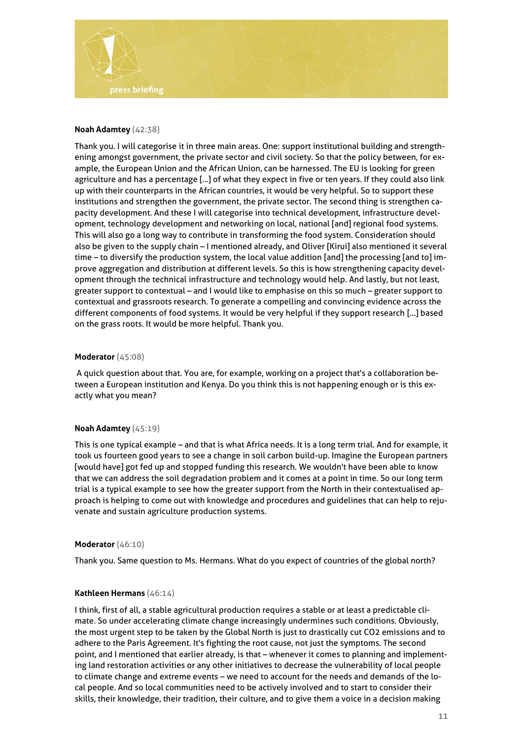

#### **Noah Adamtey** (42:38)

Thank you. I will categorise it in three main areas. One: support institutional building and strengthening amongst government, the private sector and civil society. So that the policy between, for example, the European Union and the African Union, can be harnessed. The EU is looking for green agriculture and has a percentage [...] of what they expect in five or ten years. If they could also link up with their counterparts in the African countries, it would be very helpful. So to support these institutions and strengthen the government, the private sector. The second thing is strengthen capacity development. And these I will categorise into technical development, infrastructure development, technology development and networking on local, national [and] regional food systems. This will also go a long way to contribute in transforming the food system. Consideration should also be given to the supply chain – I mentioned already, and Oliver [Kirui] also mentioned it several time – to diversify the production system, the local value addition [and] the processing [and to] improve aggregation and distribution at different levels. So this is how strengthening capacity development through the technical infrastructure and technology would help. And lastly, but not least, greater support to contextual – and I would like to emphasise on this so much – greater support to contextual and grassroots research. To generate a compelling and convincing evidence across the different components of food systems. It would be very helpful if they support research [...] based on the grass roots. It would be more helpful. Thank you.

#### **Moderator** (45:08)

A quick question about that. You are, for example, working on a project that's a collaboration between a European institution and Kenya. Do you think this is not happening enough or is this exactly what you mean?

#### **Noah Adamtey** (45:19)

This is one typical example – and that is what Africa needs. It is a long term trial. And for example, it took us fourteen good years to see a change in soil carbon build-up. Imagine the European partners [would have] got fed up and stopped funding this research. We wouldn't have been able to know that we can address the soil degradation problem and it comes at a point in time. So our long term trial is a typical example to see how the greater support from the North in their contextualised approach is helping to come out with knowledge and procedures and guidelines that can help to rejuvenate and sustain agriculture production systems.

#### **Moderator** (46:10)

Thank you. Same question to Ms. Hermans. What do you expect of countries of the global north?

#### **Kathleen Hermans** (46:14)

I think, first of all, a stable agricultural production requires a stable or at least a predictable climate. So under accelerating climate change increasingly undermines such conditions. Obviously, the most urgent step to be taken by the Global North is just to drastically cut CO2 emissions and to adhere to the Paris Agreement. It's fighting the root cause, not just the symptoms. The second point, and I mentioned that earlier already, is that – whenever it comes to planning and implementing land restoration activities or any other initiatives to decrease the vulnerability of local people to climate change and extreme events – we need to account for the needs and demands of the local people. And so local communities need to be actively involved and to start to consider their skills, their knowledge, their tradition, their culture, and to give them a voice in a decision making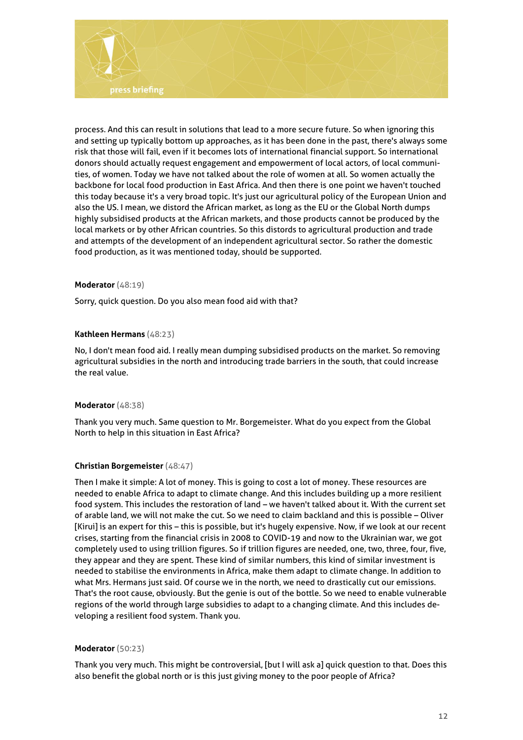

process. And this can result in solutions that lead to a more secure future. So when ignoring this and setting up typically bottom up approaches, as it has been done in the past, there's always some risk that those will fail, even if it becomes lots of international financial support. So international donors should actually request engagement and empowerment of local actors, of local communities, of women. Today we have not talked about the role of women at all. So women actually the backbone for local food production in East Africa. And then there is one point we haven't touched this today because it's a very broad topic. It's just our agricultural policy of the European Union and also the US. I mean, we distord the African market, as long as the EU or the Global North dumps highly subsidised products at the African markets, and those products cannot be produced by the local markets or by other African countries. So this distords to agricultural production and trade and attempts of the development of an independent agricultural sector. So rather the domestic food production, as it was mentioned today, should be supported.

#### **Moderator** (48:19)

Sorry, quick question. Do you also mean food aid with that?

#### **Kathleen Hermans** (48:23)

No, I don't mean food aid. I really mean dumping subsidised products on the market. So removing agricultural subsidies in the north and introducing trade barriers in the south, that could increase the real value.

#### **Moderator** (48:38)

Thank you very much. Same question to Mr. Borgemeister. What do you expect from the Global North to help in this situation in East Africa?

# **Christian Borgemeister** (48:47)

Then I make it simple: A lot of money. This is going to cost a lot of money. These resources are needed to enable Africa to adapt to climate change. And this includes building up a more resilient food system. This includes the restoration of land – we haven't talked about it. With the current set of arable land, we will not make the cut. So we need to claim backland and this is possible – Oliver [Kirui] is an expert for this – this is possible, but it's hugely expensive. Now, if we look at our recent crises, starting from the financial crisis in 2008 to COVID-19 and now to the Ukrainian war, we got completely used to using trillion figures. So if trillion figures are needed, one, two, three, four, five, they appear and they are spent. These kind of similar numbers, this kind of similar investment is needed to stabilise the environments in Africa, make them adapt to climate change. In addition to what Mrs. Hermans just said. Of course we in the north, we need to drastically cut our emissions. That's the root cause, obviously. But the genie is out of the bottle. So we need to enable vulnerable regions of the world through large subsidies to adapt to a changing climate. And this includes developing a resilient food system. Thank you.

#### **Moderator** (50:23)

Thank you very much. This might be controversial, [but I will ask a] quick question to that. Does this also benefit the global north or is this just giving money to the poor people of Africa?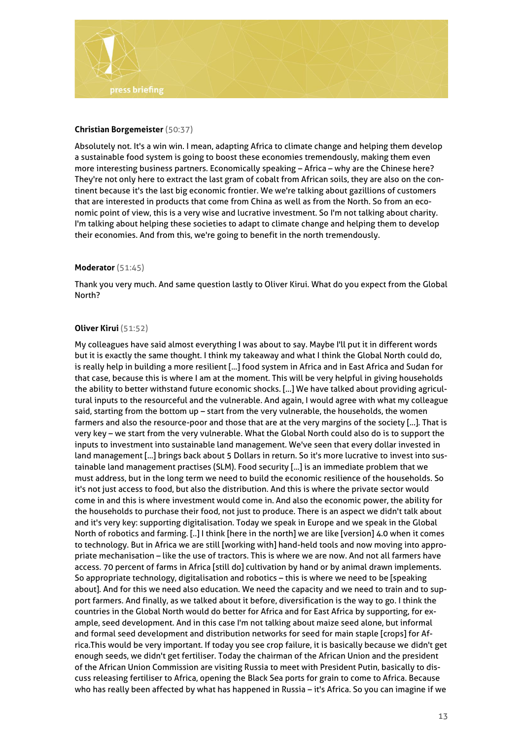

### **Christian Borgemeister** (50:37)

Absolutely not. It's a win win. I mean, adapting Africa to climate change and helping them develop a sustainable food system is going to boost these economies tremendously, making them even more interesting business partners. Economically speaking – Africa – why are the Chinese here? They're not only here to extract the last gram of cobalt from African soils, they are also on the continent because it's the last big economic frontier. We we're talking about gazillions of customers that are interested in products that come from China as well as from the North. So from an economic point of view, this is a very wise and lucrative investment. So I'm not talking about charity. I'm talking about helping these societies to adapt to climate change and helping them to develop their economies. And from this, we're going to benefit in the north tremendously.

#### **Moderator** (51:45)

Thank you very much. And same question lastly to Oliver Kirui. What do you expect from the Global North?

#### **Oliver Kirui** (51:52)

My colleagues have said almost everything I was about to say. Maybe I'll put it in different words but it is exactly the same thought. I think my takeaway and what I think the Global North could do, is really help in building a more resilient [...] food system in Africa and in East Africa and Sudan for that case, because this is where I am at the moment. This will be very helpful in giving households the ability to better withstand future economic shocks. [...] We have talked about providing agricultural inputs to the resourceful and the vulnerable. And again, I would agree with what my colleague said, starting from the bottom up – start from the very vulnerable, the households, the women farmers and also the resource-poor and those that are at the very margins of the society [...]. That is very key – we start from the very vulnerable. What the Global North could also do is to support the inputs to investment into sustainable land management. We've seen that every dollar invested in land management [...] brings back about 5 Dollars in return. So it's more lucrative to invest into sustainable land management practises (SLM). Food security [...] is an immediate problem that we must address, but in the long term we need to build the economic resilience of the households. So it's not just access to food, but also the distribution. And this is where the private sector would come in and this is where investment would come in. And also the economic power, the ability for the households to purchase their food, not just to produce. There is an aspect we didn't talk about and it's very key: supporting digitalisation. Today we speak in Europe and we speak in the Global North of robotics and farming. [..] I think [here in the north] we are like [version] 4.0 when it comes to technology. But in Africa we are still [working with] hand-held tools and now moving into appropriate mechanisation – like the use of tractors. This is where we are now. And not all farmers have access. 70 percent of farms in Africa [still do] cultivation by hand or by animal drawn implements. So appropriate technology, digitalisation and robotics – this is where we need to be [speaking about]. And for this we need also education. We need the capacity and we need to train and to support farmers. And finally, as we talked about it before, diversification is the way to go. I think the countries in the Global North would do better for Africa and for East Africa by supporting, for example, seed development. And in this case I'm not talking about maize seed alone, but informal and formal seed development and distribution networks for seed for main staple [crops] for Africa.This would be very important. If today you see crop failure, it is basically because we didn't get enough seeds, we didn't get fertiliser. Today the chairman of the African Union and the president of the African Union Commission are visiting Russia to meet with President Putin, basically to discuss releasing fertiliser to Africa, opening the Black Sea ports for grain to come to Africa. Because who has really been affected by what has happened in Russia – it's Africa. So you can imagine if we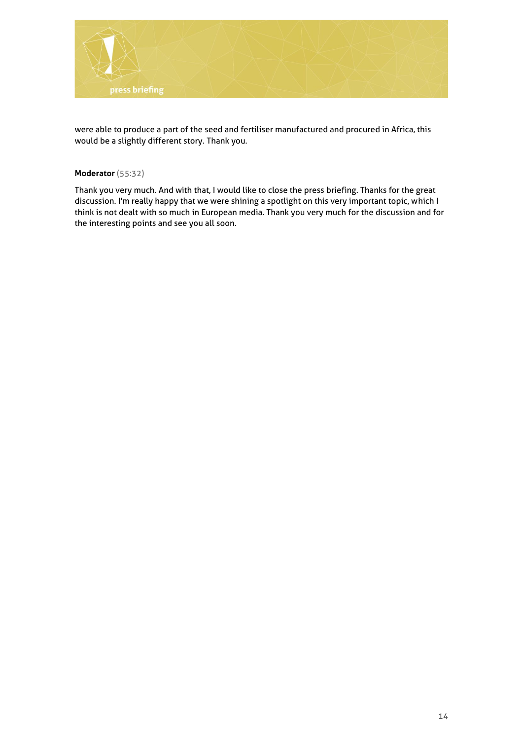

were able to produce a part of the seed and fertiliser manufactured and procured in Africa, this would be a slightly different story. Thank you.

# **Moderator** (55:32)

Thank you very much. And with that, I would like to close the press briefing. Thanks for the great discussion. I'm really happy that we were shining a spotlight on this very important topic, which I think is not dealt with so much in European media. Thank you very much for the discussion and for the interesting points and see you all soon.